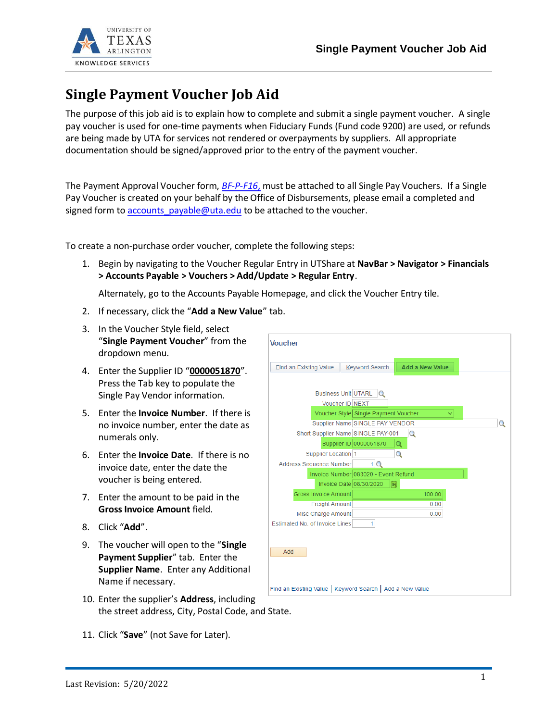

## **Single Payment Voucher Job Aid**

The purpose of this job aid is to explain how to complete and submit a single payment voucher. A single pay voucher is used for one-time payments when Fiduciary Funds (Fund code 9200) are used, or refunds are being made by UTA for services not rendered or overpayments by suppliers. All appropriate documentation should be signed/approved prior to the entry of the payment voucher.

The Payment Approval Voucher form, *[BF-P-F16](https://resources.uta.edu/business-affairs/forms/payroll/payment-approval-voucher.pdf)*, must be attached to all Single Pay Vouchers. If a Single Pay Voucher is created on your behalf by the Office of Disbursements, please email a completed and signed form to [accounts\\_payable@uta.edu](mailto:accounts_payable@uta.edu) to be attached to the voucher.

To create a non-purchase order voucher, complete the following steps:

1. Begin by navigating to the Voucher Regular Entry in UTShare at **NavBar > Navigator > Financials > Accounts Payable > Vouchers > Add/Update > Regular Entry**.

Alternately, go to the Accounts Payable Homepage, and click the Voucher Entry tile.

- 2. If necessary, click the "**Add a New Value**" tab.
- 3. In the Voucher Style field, select "**Single Payment Voucher**" from the dropdown menu.
- 4. Enter the Supplier ID "**0000051870**". Press the Tab key to populate the Single Pay Vendor information.
- 5. Enter the **Invoice Number**. If there is no invoice number, enter the date as numerals only.
- 6. Enter the **Invoice Date**. If there is no invoice date, enter the date the voucher is being entered.
- 7. Enter the amount to be paid in the **Gross Invoice Amount** field.
- 8. Click "**Add**".
- 9. The voucher will open to the "**Single Payment Supplier**" tab. Enter the **Supplier Name**. Enter any Additional Name if necessary.
- 10. Enter the supplier's **Address**, including the street address, City, Postal Code, and State.
- Voucher Add a New Value **Eind an Existing Value | Keyword Search** Business Unit UTARL Q Voucher ID NEXT Voucher Style Single Payment Voucher ज Supplier Name SINGLE PAY VENDOR  $\Omega$ Short Supplier Name SINGLE PAY-001  $\alpha$ Supplier ID 0000051870 Q Supplier Location 1  $\Omega$ Address Sequence Number  $1Q$ Invoice Number 083020 - Event Refund Invoice Date 08/30/2020 ||詞 Gross Invoice Amount 100 $.00$ Freight Amount  $0.00$ Misc Charge Amount  $0.00$ Estimated No. of Invoice Lines  $1$ Add Find an Existing Value | Keyword Search | Add a New Value
- 11. Click "**Save**" (not Save for Later).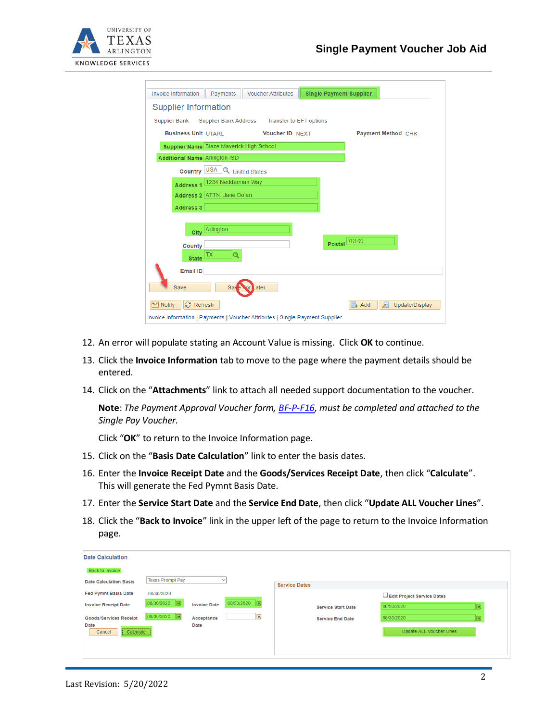

| <b>Invoice Information</b><br>Payments<br><b>Single Payment Supplier</b><br><b>Voucher Attributes</b> |
|-------------------------------------------------------------------------------------------------------|
| <b>Supplier Information</b>                                                                           |
| Supplier Bank<br>Supplier Bank Address<br>Transfer to EFT options                                     |
| <b>Business Unit UTARL</b><br>Voucher ID NEXT<br><b>Payment Method CHK</b>                            |
| Supplier Name Blaze Maverick High School                                                              |
| <b>Additional Name Arlington ISD</b>                                                                  |
| <b>Country USA Q</b> United States                                                                    |
| Address 1 1234 Nedderman Way                                                                          |
| Address 2 ATTN: Jane Dolan                                                                            |
| Address 3                                                                                             |
| City <sup>Arlington</sup>                                                                             |
| Postal 76109<br>County                                                                                |
| TX<br><b>State</b>                                                                                    |
| <b>Email ID</b>                                                                                       |
| Save<br>Later<br>Say                                                                                  |
| <b>C</b> Refresh<br>$\overline{\lambda}$<br>$\equiv$ Notify<br>Add<br>Update/Display                  |
| Invoice Information   Payments   Voucher Attributes   Single Payment Supplier                         |

- 12. An error will populate stating an Account Value is missing. Click **OK** to continue.
- 13. Click the **Invoice Information** tab to move to the page where the payment details should be entered.
- 14. Click on the "**Attachments**" link to attach all needed support documentation to the voucher.

**Note**: *The Payment Approval Voucher form[, BF-P-F16,](https://resources.uta.edu/business-affairs/forms/payroll/payment-approval-voucher.pdf) must be completed and attached to the Single Pay Voucher.*

Click "**OK**" to return to the Invoice Information page.

- 15. Click on the "**Basis Date Calculation**" link to enter the basis dates.
- 16. Enter the **Invoice Receipt Date** and the **Goods/Services Receipt Date**, then click "**Calculate**". This will generate the Fed Pymnt Basis Date.
- 17. Enter the **Service Start Date** and the **Service End Date**, then click "**Update ALL Voucher Lines**".
- 18. Click the "**Back to Invoice**" link in the upper left of the page to return to the Invoice Information page.

| <b>Date Calculation</b>                                             |                          |                           |                 |                           |            |                                 |   |
|---------------------------------------------------------------------|--------------------------|---------------------------|-----------------|---------------------------|------------|---------------------------------|---|
| <b>Back to Invoice</b><br><b>Date Calculation Basis</b>             | <b>Texas Prompt Pay</b>  |                           | $\checkmark$    | <b>Service Dates</b>      |            |                                 |   |
| <b>Fed Pymnt Basis Date</b><br><b>Invoice Receipt Date</b>          | 08/30/2020<br>08/30/2020 | <b>Invoice Date</b>       | 08/30/2020<br>同 | <b>Service Start Date</b> | 08/30/2020 | Edit Project Service Dates      | 茼 |
| <b>Goods/Services Receipt</b><br><b>Date</b><br>Calculate<br>Cancel | 08/30/2020   同           | Acceptance<br><b>Date</b> | BU              | <b>Service End Date</b>   | 08/30/2020 | <b>Update ALL Voucher Lines</b> | 同 |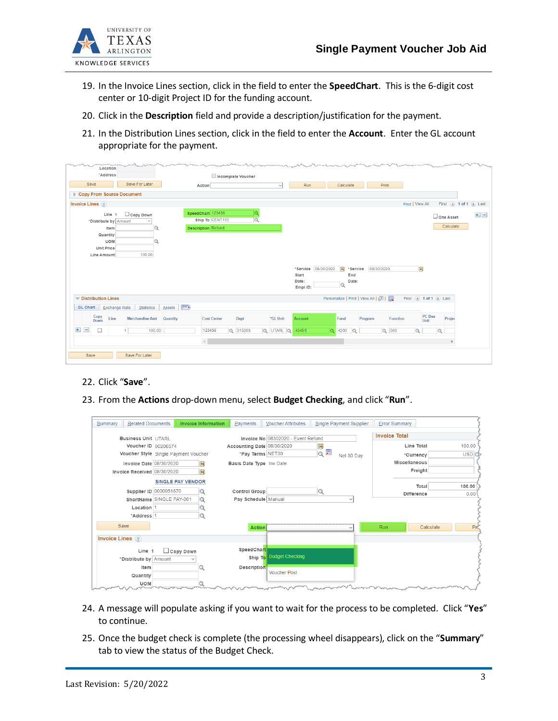

- 19. In the Invoice Lines section, click in the field to enter the **SpeedChart**. This is the 6-digit cost center or 10-digit Project ID for the funding account.
- 20. Click in the **Description** field and provide a description/justification for the payment.
- 21. In the Distribution Lines section, click in the field to enter the **Account**. Enter the GL account appropriate for the payment.

| Location<br>"Address               |                          |                           |                    |                |                 |          |                     |                   |                                   |          |                     |                       |         |
|------------------------------------|--------------------------|---------------------------|--------------------|----------------|-----------------|----------|---------------------|-------------------|-----------------------------------|----------|---------------------|-----------------------|---------|
| Save                               | Save For Later           | Action                    | Incomplete Voucher |                | $\checkmark$    | Run      |                     | Calculate         | Print                             |          |                     |                       |         |
| <b>Copy From Source Document</b>   |                          |                           |                    |                |                 |          |                     |                   |                                   |          |                     |                       |         |
|                                    |                          |                           |                    |                |                 |          |                     |                   |                                   |          |                     | First 4 1 of 1 D Last |         |
| Invoice Lines (?)                  |                          |                           |                    |                |                 |          |                     |                   |                                   |          | Find   View All     |                       |         |
| Line 1                             | $\Box$ Copy Down         | SpeedChart 123456         |                    |                |                 |          |                     |                   |                                   |          |                     | One Asset             | $+$ $-$ |
| *Distribute by Amount              |                          |                           | Ship To CENT110    | $\overline{Q}$ |                 |          |                     |                   |                                   |          |                     | Calculate             |         |
| Item                               | Q                        | <b>Description</b> Refund |                    |                |                 |          |                     |                   |                                   |          |                     |                       |         |
| Quantity<br><b>UOM</b>             |                          |                           |                    |                |                 |          |                     |                   |                                   |          |                     |                       |         |
| <b>Unit Price</b>                  |                          |                           |                    |                |                 |          |                     |                   |                                   |          |                     |                       |         |
| Line Amount                        | 100.00                   |                           |                    |                |                 |          |                     |                   |                                   |          |                     |                       |         |
|                                    |                          |                           |                    |                |                 |          |                     |                   |                                   |          |                     |                       |         |
|                                    |                          |                           |                    |                |                 |          | *Service 08/30/2020 | H <br>*Service    | 08/30/2020                        |          | $\mathbb{B}$        |                       |         |
|                                    |                          |                           |                    |                |                 | Start    |                     | End               |                                   |          |                     |                       |         |
|                                    |                          |                           |                    |                |                 | Date:    |                     | Date:<br>$\alpha$ |                                   |          |                     |                       |         |
|                                    |                          |                           |                    |                |                 | Empl ID: |                     |                   |                                   |          |                     |                       |         |
| Distribution Lines                 |                          |                           |                    |                |                 |          |                     |                   | Personalize   Find   View All   2 |          | First 1 of 1 D Last |                       |         |
| Exchange Rate<br><b>GL Chart</b>   | Statistics               | $\Box$<br>Assets          |                    |                |                 |          |                     |                   |                                   |          |                     |                       |         |
| Copy<br>Line<br>Down               | <b>Merchandise Amt</b>   | Quantity                  | <b>Cost Center</b> | Dept           | *GL Unit        | Account  | Fund                |                   | Program                           | Function | PC Bus<br>Unit      | Projec                |         |
| $+$<br>$\qquad \qquad =$<br>$\Box$ | 100.00<br>1 <sup>1</sup> | 123456                    |                    | Q 315203       | Q UTARL Q 45451 |          | $Q$ 4200            | $\alpha$          |                                   | $Q$ 500  | $\alpha$            | $\alpha$              |         |
|                                    |                          | $\,<$                     |                    |                |                 |          |                     |                   |                                   |          |                     | $\,$                  |         |
|                                    |                          |                           |                    |                |                 |          |                     |                   |                                   |          |                     |                       |         |
| Save                               | Save For Later           |                           |                    |                |                 |          |                     |                   |                                   |          |                     |                       |         |

- 22. Click "**Save**".
- 23. From the **Actions** drop-down menu, select **Budget Checking**, and click "**Run**".

| <b>Related Documents</b><br>Summary  |                          | <b>Invoice Information</b> | Payments                   | <b>Voucher Attributes</b>          | Single Payment Supplier                                                                                                  | <b>Error Summary</b> |            |
|--------------------------------------|--------------------------|----------------------------|----------------------------|------------------------------------|--------------------------------------------------------------------------------------------------------------------------|----------------------|------------|
| <b>Business Unit LITARI</b>          |                          |                            |                            | Invoice No 08302020 - Event Refund |                                                                                                                          | <b>Invoice Total</b> |            |
|                                      | Voucher ID 00206574      |                            | Accounting Date 08/30/2020 |                                    | 31                                                                                                                       | Line Total           | 100.00     |
| Voucher Style Single Payment Voucher |                          |                            | *Pay Terms NET30           |                                    | 霜<br>$\alpha$<br>Net 30 Day                                                                                              | *Currency            | <b>USD</b> |
|                                      | Invoice Date 08/30/2020  | n                          | Basis Date Type Inv Date   |                                    |                                                                                                                          | <b>Miscellaneous</b> |            |
| Invoice Received 08/30/2020          |                          | B                          |                            |                                    |                                                                                                                          | Freight              |            |
|                                      |                          | <b>SINGLE PAY VENDOR</b>   |                            |                                    |                                                                                                                          | Total                | 100.00     |
|                                      | Supplier ID 0000051870   |                            | Control Group              |                                    | Q                                                                                                                        | Difference           | 0.00       |
|                                      | ShortName SINGLE PAY-001 |                            | Pay Schedule Manual        |                                    |                                                                                                                          |                      |            |
| Location 1                           |                          |                            |                            |                                    |                                                                                                                          |                      |            |
| *Address 1                           |                          |                            |                            |                                    |                                                                                                                          |                      |            |
| Save                                 |                          |                            | Action                     |                                    |                                                                                                                          | Run<br>Calculate     | PK         |
| Invoice Lines ?                      |                          |                            |                            |                                    |                                                                                                                          |                      |            |
| Line 1                               |                          | $\Box$ Copy Down           | SpeedChart                 |                                    |                                                                                                                          |                      |            |
| *Distribute by Amount                |                          |                            |                            | Ship To Budget Checking            |                                                                                                                          |                      |            |
| Item                                 |                          |                            | <b>Description</b>         |                                    |                                                                                                                          |                      |            |
| Quantity                             |                          |                            |                            | <b>Voucher Post</b>                |                                                                                                                          |                      |            |
| <b>UOM</b>                           |                          |                            |                            |                                    | alaman ang pagbabang dina mangkala sa pag-pang mangkala sa pang kalimang dina mangkala sa pang mangkala sa pang<br>سمسين |                      |            |

- 24. A message will populate asking if you want to wait for the process to be completed. Click "**Yes**" to continue.
- 25. Once the budget check is complete (the processing wheel disappears), click on the "**Summary**" tab to view the status of the Budget Check.